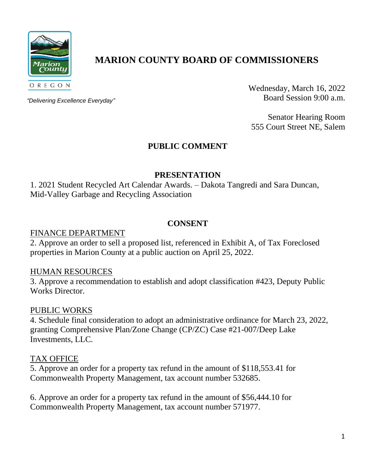

# **MARION COUNTY BOARD OF COMMISSIONERS**

*"Delivering Excellence Everyday"*

Wednesday, March 16, 2022 Board Session 9:00 a.m.

Senator Hearing Room 555 Court Street NE, Salem

# **PUBLIC COMMENT**

# **PRESENTATION**

1. 2021 Student Recycled Art Calendar Awards. – Dakota Tangredi and Sara Duncan, Mid-Valley Garbage and Recycling Association

#### **CONSENT**

#### FINANCE DEPARTMENT

2. Approve an order to sell a proposed list, referenced in Exhibit A, of Tax Foreclosed properties in Marion County at a public auction on April 25, 2022.

#### HUMAN RESOURCES

3. Approve a recommendation to establish and adopt classification #423, Deputy Public Works Director.

#### PUBLIC WORKS

4. Schedule final consideration to adopt an administrative ordinance for March 23, 2022, granting Comprehensive Plan/Zone Change (CP/ZC) Case #21-007/Deep Lake Investments, LLC.

#### TAX OFFICE

5. Approve an order for a property tax refund in the amount of \$118,553.41 for Commonwealth Property Management, tax account number 532685.

6. Approve an order for a property tax refund in the amount of \$56,444.10 for Commonwealth Property Management, tax account number 571977.